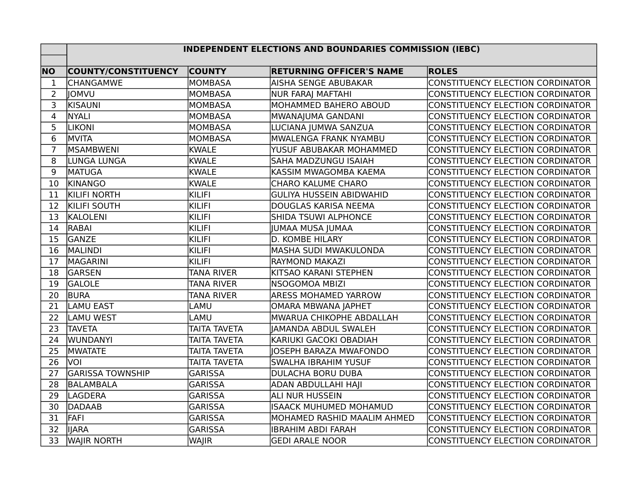## **INDEPENDENT ELECTIONS AND BOUNDARIES COMMISSION (IEBC)**

| <b>NO</b>      | <b>COUNTY/CONSTITUENCY</b> | <b>COUNTY</b>       | <b>RETURNING OFFICER'S NAME</b> | <b>ROLES</b>                            |
|----------------|----------------------------|---------------------|---------------------------------|-----------------------------------------|
| $\mathbf 1$    | <b>CHANGAMWE</b>           | <b>MOMBASA</b>      | AISHA SENGE ABUBAKAR            | CONSTITUENCY ELECTION CORDINATOR        |
| $\overline{2}$ | <b>JOMVU</b>               | <b>MOMBASA</b>      | <b>NUR FARAJ MAFTAHI</b>        | CONSTITUENCY ELECTION CORDINATOR        |
| 3              | KISAUNI                    | MOMBASA             | MOHAMMED BAHERO ABOUD           | CONSTITUENCY ELECTION CORDINATOR        |
| 4              | <b>NYALI</b>               | <b>MOMBASA</b>      | MWANAJUMA GANDANI               | CONSTITUENCY ELECTION CORDINATOR        |
| 5              | <b>LIKONI</b>              | <b>MOMBASA</b>      | LUCIANA JUMWA SANZUA            | CONSTITUENCY ELECTION CORDINATOR        |
| 6              | MVITA                      | <b>MOMBASA</b>      | MWALENGA FRANK NYAMBU           | <b>CONSTITUENCY ELECTION CORDINATOR</b> |
| $\overline{7}$ | <b>MSAMBWENI</b>           | <b>KWALE</b>        | YUSUF ABUBAKAR MOHAMMED         | CONSTITUENCY ELECTION CORDINATOR        |
| 8              | LUNGA LUNGA                | <b>KWALE</b>        | <b>SAHA MADZUNGU ISAIAH</b>     | CONSTITUENCY ELECTION CORDINATOR        |
| 9              | <b>MATUGA</b>              | <b>KWALE</b>        | KASSIM MWAGOMBA KAEMA           | CONSTITUENCY ELECTION CORDINATOR        |
| 10             | <b>KINANGO</b>             | <b>KWALE</b>        | <b>CHARO KALUME CHARO</b>       | CONSTITUENCY ELECTION CORDINATOR        |
| 11             | <b>KILIFI NORTH</b>        | <b>KILIFI</b>       | <b>GULIYA HUSSEIN ABIDWAHID</b> | CONSTITUENCY ELECTION CORDINATOR        |
| 12             | <b>KILIFI SOUTH</b>        | <b>KILIFI</b>       | DOUGLAS KARISA NEEMA            | <b>CONSTITUENCY ELECTION CORDINATOR</b> |
| 13             | KALOLENI                   | KILIFI              | <b>SHIDA TSUWI ALPHONCE</b>     | CONSTITUENCY ELECTION CORDINATOR        |
| 14             | <b>RABAI</b>               | <b>KILIFI</b>       | JUMAA MUSA JUMAA                | CONSTITUENCY ELECTION CORDINATOR        |
| 15             | <b>GANZE</b>               | KILIFI              | D. KOMBE HILARY                 | CONSTITUENCY ELECTION CORDINATOR        |
| 16             | MALINDI                    | <b>KILIFI</b>       | <b>MASHA SUDI MWAKULONDA</b>    | CONSTITUENCY ELECTION CORDINATOR        |
| 17             | MAGARINI                   | <b>KILIFI</b>       | RAYMOND MAKAZI                  | CONSTITUENCY ELECTION CORDINATOR        |
| 18             | GARSEN                     | <b>TANA RIVER</b>   | KITSAO KARANI STEPHEN           | <b>CONSTITUENCY ELECTION CORDINATOR</b> |
| 19             | <b>GALOLE</b>              | <b>TANA RIVER</b>   | <b>NSOGOMOA MBIZI</b>           | CONSTITUENCY ELECTION CORDINATOR        |
| 20             | <b>BURA</b>                | <b>TANA RIVER</b>   | <b>ARESS MOHAMED YARROW</b>     | CONSTITUENCY ELECTION CORDINATOR        |
| 21             | <b>LAMU EAST</b>           | LAMU                | <b>OMARA MBWANA JAPHET</b>      | CONSTITUENCY ELECTION CORDINATOR        |
| 22             | LAMU WEST                  | LAMU                | MWARUA CHIKOPHE ABDALLAH        | CONSTITUENCY ELECTION CORDINATOR        |
| 23             | <b>TAVETA</b>              | <b>TAITA TAVETA</b> | <b>JAMANDA ABDUL SWALEH</b>     | CONSTITUENCY ELECTION CORDINATOR        |
| 24             | WUNDANYI                   | <b>TAITA TAVETA</b> | KARIUKI GACOKI OBADIAH          | CONSTITUENCY ELECTION CORDINATOR        |
| 25             | <b>MWATATE</b>             | <b>TAITA TAVETA</b> | JOSEPH BARAZA MWAFONDO          | CONSTITUENCY ELECTION CORDINATOR        |
| 26             | VOI                        | <b>TAITA TAVETA</b> | <b>SWALHA IBRAHIM YUSUF</b>     | CONSTITUENCY ELECTION CORDINATOR        |
| 27             | <b>GARISSA TOWNSHIP</b>    | <b>GARISSA</b>      | <b>DULACHA BORU DUBA</b>        | CONSTITUENCY ELECTION CORDINATOR        |
| 28             | BALAMBALA                  | <b>GARISSA</b>      | <b>ADAN ABDULLAHI HAJI</b>      | CONSTITUENCY ELECTION CORDINATOR        |
| 29             | LAGDERA                    | <b>GARISSA</b>      | <b>ALI NUR HUSSEIN</b>          | CONSTITUENCY ELECTION CORDINATOR        |
| 30             | DADAAB                     | <b>GARISSA</b>      | <b>ISAACK MUHUMED MOHAMUD</b>   | CONSTITUENCY ELECTION CORDINATOR        |
| 31             | FAFI                       | <b>GARISSA</b>      | MOHAMED RASHID MAALIM AHMED     | CONSTITUENCY ELECTION CORDINATOR        |
| 32             | <b>IIARA</b>               | <b>GARISSA</b>      | <b>IBRAHIM ABDI FARAH</b>       | CONSTITUENCY ELECTION CORDINATOR        |
| 33             | <b>WAJIR NORTH</b>         | <b>WAJIR</b>        | <b>GEDI ARALE NOOR</b>          | CONSTITUENCY ELECTION CORDINATOR        |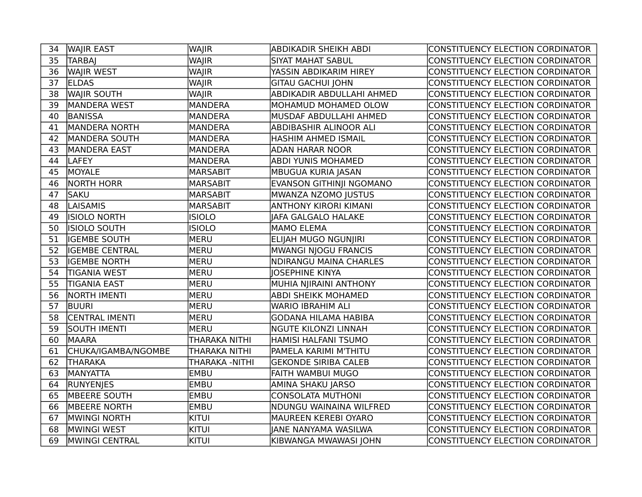| 34 | <b>WAJIR EAST</b>                 | WAJIR           | <b>ABDIKADIR SHEIKH ABDI</b>  | CONSTITUENCY ELECTION CORDINATOR        |
|----|-----------------------------------|-----------------|-------------------------------|-----------------------------------------|
| 35 | <b>TARBAJ</b>                     | <b>WAJIR</b>    | <b>SIYAT MAHAT SABUL</b>      | <b>CONSTITUENCY ELECTION CORDINATOR</b> |
| 36 | <b>WAJIR WEST</b><br><b>WAJIR</b> |                 | YASSIN ABDIKARIM HIREY        | CONSTITUENCY ELECTION CORDINATOR        |
| 37 | <b>ELDAS</b>                      | <b>WAJIR</b>    | <b>GITAU GACHUI JOHN</b>      | CONSTITUENCY ELECTION CORDINATOR        |
| 38 | <b>WAJIR SOUTH</b>                | <b>WAJIR</b>    | ABDIKADIR ABDULLAHI AHMED     | <b>CONSTITUENCY ELECTION CORDINATOR</b> |
| 39 | <b>MANDERA WEST</b>               | <b>MANDERA</b>  | MOHAMUD MOHAMED OLOW          | CONSTITUENCY ELECTION CORDINATOR        |
| 40 | <b>BANISSA</b>                    | MANDERA         | MUSDAF ABDULLAHI AHMED        | CONSTITUENCY ELECTION CORDINATOR        |
| 41 | MANDERA NORTH                     | <b>MANDERA</b>  | <b>ABDIBASHIR ALINOOR ALI</b> | CONSTITUENCY ELECTION CORDINATOR        |
| 42 | <b>MANDERA SOUTH</b>              | MANDERA         | <b>HASHIM AHMED ISMAIL</b>    | CONSTITUENCY ELECTION CORDINATOR        |
| 43 | <b>MANDERA EAST</b>               | MANDERA         | <b>ADAN HARAR NOOR</b>        | <b>CONSTITUENCY ELECTION CORDINATOR</b> |
| 44 | <b>LAFEY</b>                      | <b>MANDERA</b>  | <b>ABDI YUNIS MOHAMED</b>     | CONSTITUENCY ELECTION CORDINATOR        |
| 45 | MOYALE                            | MARSABIT        | <b>MBUGUA KURIA JASAN</b>     | <b>CONSTITUENCY ELECTION CORDINATOR</b> |
| 46 | <b>NORTH HORR</b>                 | <b>MARSABIT</b> | EVANSON GITHINJI NGOMANO      | CONSTITUENCY ELECTION CORDINATOR        |
| 47 | <b>SAKU</b>                       | MARSABIT        | MWANZA NZOMO JUSTUS           | <b>CONSTITUENCY ELECTION CORDINATOR</b> |
| 48 | <b>LAISAMIS</b>                   | MARSABIT        | <b>ANTHONY KIRORI KIMANI</b>  | CONSTITUENCY ELECTION CORDINATOR        |
| 49 | <b>ISIOLO NORTH</b>               | <b>ISIOLO</b>   | <b>JAFA GALGALO HALAKE</b>    | CONSTITUENCY ELECTION CORDINATOR        |
| 50 | ISIOLO SOUTH                      | <b>ISIOLO</b>   | <b>MAMO ELEMA</b>             | CONSTITUENCY ELECTION CORDINATOR        |
| 51 | <b>IGEMBE SOUTH</b>               | <b>MERU</b>     | ELIJAH MUGO NGUNJIRI          | CONSTITUENCY ELECTION CORDINATOR        |
| 52 | <b>IGEMBE CENTRAL</b>             | MERU            | MWANGI NJOGU FRANCIS          | CONSTITUENCY ELECTION CORDINATOR        |
| 53 | <b>IGEMBE NORTH</b>               | MERU            | <b>NDIRANGU MAINA CHARLES</b> | CONSTITUENCY ELECTION CORDINATOR        |
| 54 | <b>TIGANIA WEST</b>               | MERU            | <b>JOSEPHINE KINYA</b>        | CONSTITUENCY ELECTION CORDINATOR        |
| 55 | <b>TIGANIA EAST</b>               | <b>MERU</b>     | MUHIA NJIRAINI ANTHONY        | CONSTITUENCY ELECTION CORDINATOR        |
| 56 | <b>NORTH IMENTI</b>               | MERU            | <b>ABDI SHEIKK MOHAMED</b>    | CONSTITUENCY ELECTION CORDINATOR        |
| 57 | <b>BUURI</b>                      | MERU            | <b>WARIO IBRAHIM ALI</b>      | CONSTITUENCY ELECTION CORDINATOR        |
| 58 | <b>CENTRAL IMENTI</b>             | MERU            | <b>GODANA HILAMA HABIBA</b>   | <b>CONSTITUENCY ELECTION CORDINATOR</b> |
| 59 | <b>SOUTH IMENTI</b>               | <b>MERU</b>     | <b>NGUTE KILONZI LINNAH</b>   | CONSTITUENCY ELECTION CORDINATOR        |
| 60 | <b>MAARA</b>                      | THARAKA NITHI   | HAMISI HALFANI TSUMO          | CONSTITUENCY ELECTION CORDINATOR        |
| 61 | CHUKA/IGAMBA/NGOMBE               | THARAKA NITHI   | PAMELA KARIMI M'THITU         | CONSTITUENCY ELECTION CORDINATOR        |
| 62 | <b>THARAKA</b>                    | THARAKA -NITHI  | <b>GEKONDE SIRIBA CALEB</b>   | CONSTITUENCY ELECTION CORDINATOR        |
| 63 | MANYATTA                          | <b>EMBU</b>     | FAITH WAMBUI MUGO             | CONSTITUENCY ELECTION CORDINATOR        |
| 64 | <b>RUNYENJES</b>                  | <b>EMBU</b>     | AMINA SHAKU JARSO             | CONSTITUENCY ELECTION CORDINATOR        |
| 65 | <b>MBEERE SOUTH</b>               | <b>EMBU</b>     | <b>CONSOLATA MUTHONI</b>      | CONSTITUENCY ELECTION CORDINATOR        |
| 66 | <b>MBEERE NORTH</b>               | <b>EMBU</b>     | NDUNGU WAINAINA WILFRED       | CONSTITUENCY ELECTION CORDINATOR        |
| 67 | <b>MWINGI NORTH</b>               | kitui           | MAUREEN KEREBI OYARO          | CONSTITUENCY ELECTION CORDINATOR        |
| 68 | <b>MWINGI WEST</b>                | kitui           | <b>JANE NANYAMA WASILWA</b>   | CONSTITUENCY ELECTION CORDINATOR        |
| 69 | MWINGI CENTRAL                    | <b>KITUI</b>    | KIBWANGA MWAWASI JOHN         | CONSTITUENCY ELECTION CORDINATOR        |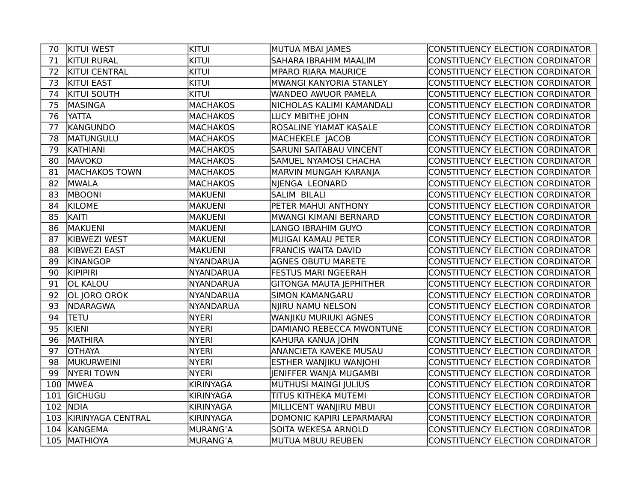| 70  | <b>KITUI WEST</b>     | <b>k</b> itui    | MUTUA MBAI JAMES               | CONSTITUENCY ELECTION CORDINATOR        |
|-----|-----------------------|------------------|--------------------------------|-----------------------------------------|
| 71  | <b>KITUI RURAL</b>    | <b>KITUI</b>     | SAHARA IBRAHIM MAALIM          | CONSTITUENCY ELECTION CORDINATOR        |
| 72  | <b>KITUI CENTRAL</b>  | <b>KITUI</b>     | <b>MPARO RIARA MAURICE</b>     | CONSTITUENCY ELECTION CORDINATOR        |
| 73  | <b>KITUI EAST</b>     | <b>KITUI</b>     | MWANGI KANYORIA STANLEY        | CONSTITUENCY ELECTION CORDINATOR        |
| 74  | <b>KITUI SOUTH</b>    | <b>KITUI</b>     | <b>WANDEO AWUOR PAMELA</b>     | <b>CONSTITUENCY ELECTION CORDINATOR</b> |
| 75  | MASINGA               | <b>MACHAKOS</b>  | NICHOLAS KALIMI KAMANDALI      | CONSTITUENCY ELECTION CORDINATOR        |
| 76  | <b>YATTA</b>          | <b>MACHAKOS</b>  | LUCY MBITHE JOHN               | CONSTITUENCY ELECTION CORDINATOR        |
| 77  | KANGUNDO              | <b>MACHAKOS</b>  | <b>ROSALINE YIAMAT KASALE</b>  | CONSTITUENCY ELECTION CORDINATOR        |
| 78  | MATUNGULU             | <b>MACHAKOS</b>  | MACHEKELE JACOB                | CONSTITUENCY ELECTION CORDINATOR        |
| 79  | <b>KATHIANI</b>       | <b>MACHAKOS</b>  | <b>SARUNI SAITABAU VINCENT</b> | CONSTITUENCY ELECTION CORDINATOR        |
| 80  | MAVOKO                | <b>MACHAKOS</b>  | <b>SAMUEL NYAMOSI CHACHA</b>   | CONSTITUENCY ELECTION CORDINATOR        |
| 81  | <b>MACHAKOS TOWN</b>  | <b>MACHAKOS</b>  | MARVIN MUNGAH KARANJA          | CONSTITUENCY ELECTION CORDINATOR        |
| 82  | <b>MWALA</b>          | <b>MACHAKOS</b>  | NJENGA LEONARD                 | CONSTITUENCY ELECTION CORDINATOR        |
| 83  | <b>MBOONI</b>         | <b>MAKUENI</b>   | <b>SALIM BILALI</b>            | CONSTITUENCY ELECTION CORDINATOR        |
| 84  | <b>KILOME</b>         | <b>MAKUENI</b>   | PETER MAHUI ANTHONY            | CONSTITUENCY ELECTION CORDINATOR        |
| 85  | KAITI                 | <b>MAKUENI</b>   | MWANGI KIMANI BERNARD          | CONSTITUENCY ELECTION CORDINATOR        |
| 86  | MAKUENI               | <b>MAKUENI</b>   | LANGO IBRAHIM GUYO             | <b>CONSTITUENCY ELECTION CORDINATOR</b> |
| 87  | <b>KIBWEZI WEST</b>   | <b>MAKUENI</b>   | MUIGAI KAMAU PETER             | CONSTITUENCY ELECTION CORDINATOR        |
| 88  | <b>KIBWEZI EAST</b>   | <b>MAKUENI</b>   | <b>FRANCIS WAITA DAVID</b>     | CONSTITUENCY ELECTION CORDINATOR        |
| 89  | KINANGOP              | NYANDARUA        | <b>AGNES OBUTU MARETE</b>      | CONSTITUENCY ELECTION CORDINATOR        |
| 90  | <b>KIPIPIRI</b>       | <b>NYANDARUA</b> | <b>FESTUS MARI NGEERAH</b>     | CONSTITUENCY ELECTION CORDINATOR        |
| 91  | <b>OL KALOU</b>       | <b>NYANDARUA</b> | <b>GITONGA MAUTA JEPHITHER</b> | CONSTITUENCY ELECTION CORDINATOR        |
| 92  | OL JORO OROK          | <b>NYANDARUA</b> | <b>SIMON KAMANGARU</b>         | CONSTITUENCY ELECTION CORDINATOR        |
| 93  | NDARAGWA              | <b>NYANDARUA</b> | NJIRU NAMU NELSON              | CONSTITUENCY ELECTION CORDINATOR        |
| 94  | <b>TETU</b>           | <b>NYERI</b>     | WANJIKU MURIUKI AGNES          | CONSTITUENCY ELECTION CORDINATOR        |
| 95  | KIENI                 | <b>NYERI</b>     | DAMIANO REBECCA MWONTUNE       | CONSTITUENCY ELECTION CORDINATOR        |
| 96  | <b>MATHIRA</b>        | <b>NYERI</b>     | KAHURA KANUA JOHN              | CONSTITUENCY ELECTION CORDINATOR        |
| 97  | <b>OTHAYA</b>         | <b>NYERI</b>     | ANANCIETA KAVEKE MUSAU         | CONSTITUENCY ELECTION CORDINATOR        |
| 98  | MUKURWEINI            | <b>NYERI</b>     | ESTHER WANJIKU WANJOHI         | <b>CONSTITUENCY ELECTION CORDINATOR</b> |
| 99  | <b>NYERI TOWN</b>     | <b>NYERI</b>     | JENIFFER WANJA MUGAMBI         | CONSTITUENCY ELECTION CORDINATOR        |
|     | 100 MWEA              | <b>KIRINYAGA</b> | MUTHUSI MAINGI JULIUS          | CONSTITUENCY ELECTION CORDINATOR        |
| 101 | <b>GICHUGU</b>        | <b>KIRINYAGA</b> | <b>TITUS KITHEKA MUTEMI</b>    | CONSTITUENCY ELECTION CORDINATOR        |
| 102 | <b>NDIA</b>           | <b>KIRINYAGA</b> | MILLICENT WANJIRU MBUI         | CONSTITUENCY ELECTION CORDINATOR        |
|     | 103 KIRINYAGA CENTRAL | <b>KIRINYAGA</b> | DOMONIC KAPIRI LEPARMARAI      | CONSTITUENCY ELECTION CORDINATOR        |
| 104 | KANGEMA               | MURANG'A         | SOITA WEKESA ARNOLD            | CONSTITUENCY ELECTION CORDINATOR        |
|     | 105 MATHIOYA          | MURANG'A         | MUTUA MBUU REUBEN              | CONSTITUENCY ELECTION CORDINATOR        |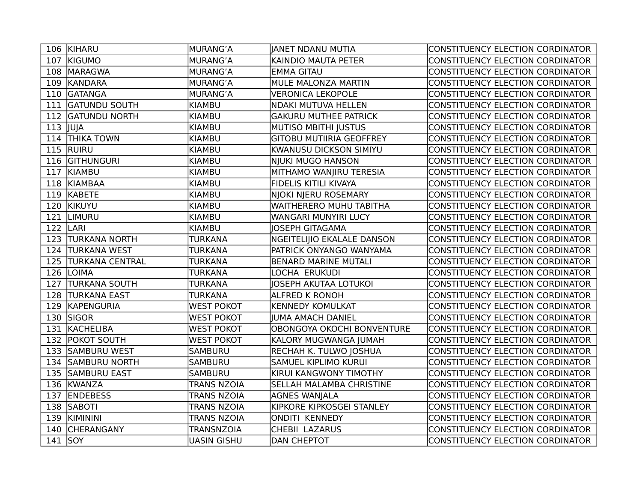| 106 KIHARU                    | MURANG'A           | JANET NDANU MUTIA               | CONSTITUENCY ELECTION CORDINATOR        |
|-------------------------------|--------------------|---------------------------------|-----------------------------------------|
| 107 KIGUMO                    | MURANG'A           | KAINDIO MAUTA PETER             | CONSTITUENCY ELECTION CORDINATOR        |
| 108 MARAGWA                   | MURANG'A           | <b>EMMA GITAU</b>               | CONSTITUENCY ELECTION CORDINATOR        |
| 109 KANDARA                   | MURANG'A           | <b>MULE MALONZA MARTIN</b>      | <b>CONSTITUENCY ELECTION CORDINATOR</b> |
| 110 GATANGA                   | MURANG'A           | <b>VERONICA LEKOPOLE</b>        | CONSTITUENCY ELECTION CORDINATOR        |
| <b>GATUNDU SOUTH</b><br>111   | KIAMBU             | NDAKI MUTUVA HELLEN             | CONSTITUENCY ELECTION CORDINATOR        |
| 112 GATUNDU NORTH             | KIAMBU             | <b>GAKURU MUTHEE PATRICK</b>    | CONSTITUENCY ELECTION CORDINATOR        |
| $113$ JUJA                    | KIAMBU             | <b>MUTISO MBITHI JUSTUS</b>     | CONSTITUENCY ELECTION CORDINATOR        |
| 114 THIKA TOWN                | KIAMBU             | <b>GITOBU MUTIIRIA GEOFFREY</b> | CONSTITUENCY ELECTION CORDINATOR        |
| 115 RUIRU                     | KIAMBU             | KWANUSU DICKSON SIMIYU          | CONSTITUENCY ELECTION CORDINATOR        |
| 116 GITHUNGURI                | KIAMBU             | NJUKI MUGO HANSON               | CONSTITUENCY ELECTION CORDINATOR        |
| 117 KIAMBU                    | KIAMBU             | MITHAMO WANJIRU TERESIA         | CONSTITUENCY ELECTION CORDINATOR        |
| 118 KIAMBAA                   | KIAMBU             | <b>FIDELIS KITILI KIVAYA</b>    | CONSTITUENCY ELECTION CORDINATOR        |
| 119 KABETE                    | KIAMBU             | NJOKI NJERU ROSEMARY            | CONSTITUENCY ELECTION CORDINATOR        |
| 120 KIKUYU                    | KIAMBU             | WAITHERERO MUHU TABITHA         | CONSTITUENCY ELECTION CORDINATOR        |
| LIMURU<br>121                 | KIAMBU             | WANGARI MUNYIRI LUCY            | CONSTITUENCY ELECTION CORDINATOR        |
| 122<br>LARI                   | KIAMBU             | JOSEPH GITAGAMA                 | CONSTITUENCY ELECTION CORDINATOR        |
| 123<br><b>TURKANA NORTH</b>   | <b>TURKANA</b>     | NGEITELIJIO EKALALE DANSON      | CONSTITUENCY ELECTION CORDINATOR        |
| 124<br><b>TURKANA WEST</b>    | TURKANA            | PATRICK ONYANGO WANYAMA         | CONSTITUENCY ELECTION CORDINATOR        |
| 125<br><b>TURKANA CENTRAL</b> | TURKANA            | <b>BENARD MARINE MUTALI</b>     | CONSTITUENCY ELECTION CORDINATOR        |
| 126 LOIMA                     | <b>TURKANA</b>     | LOCHA ERUKUDI                   | CONSTITUENCY ELECTION CORDINATOR        |
| 127<br><b>TURKANA SOUTH</b>   | <b>TURKANA</b>     | JOSEPH AKUTAA LOTUKOI           | CONSTITUENCY ELECTION CORDINATOR        |
| 128 TURKANA EAST              | <b>TURKANA</b>     | <b>ALFRED K RONOH</b>           | CONSTITUENCY ELECTION CORDINATOR        |
| 129 KAPENGURIA                | WEST POKOT         | <b>KENNEDY KOMULKAT</b>         | CONSTITUENCY ELECTION CORDINATOR        |
| 130 SIGOR                     | <b>WEST POKOT</b>  | JUMA AMACH DANIEL               | CONSTITUENCY ELECTION CORDINATOR        |
| 131 KACHELIBA                 | WEST POKOT         | OBONGOYA OKOCHI BONVENTURE      | CONSTITUENCY ELECTION CORDINATOR        |
| 132 POKOT SOUTH               | WEST POKOT         | KALORY MUGWANGA JUMAH           | CONSTITUENCY ELECTION CORDINATOR        |
| 133 SAMBURU WEST              | SAMBURU            | RECHAH K. TULWO JOSHUA          | CONSTITUENCY ELECTION CORDINATOR        |
| 134 SAMBURU NORTH             | SAMBURU            | <b>SAMUEL KIPLIMO KURUI</b>     | CONSTITUENCY ELECTION CORDINATOR        |
| 135 SAMBURU EAST              | <b>SAMBURU</b>     | KIRUI KANGWONY TIMOTHY          | CONSTITUENCY ELECTION CORDINATOR        |
| 136 KWANZA                    | <b>TRANS NZOIA</b> | <b>SELLAH MALAMBA CHRISTINE</b> | CONSTITUENCY ELECTION CORDINATOR        |
| 137 ENDEBESS                  | <b>TRANS NZOIA</b> | <b>AGNES WANJALA</b>            | CONSTITUENCY ELECTION CORDINATOR        |
| 138 SABOTI                    | <b>TRANS NZOIA</b> | KIPKORE KIPKOSGEI STANLEY       | CONSTITUENCY ELECTION CORDINATOR        |
| 139 KIMININI                  | <b>TRANS NZOIA</b> | ONDITI KENNEDY                  | CONSTITUENCY ELECTION CORDINATOR        |
| 140 CHERANGANY                | <b>TRANSNZOIA</b>  | CHEBII LAZARUS                  | CONSTITUENCY ELECTION CORDINATOR        |
| $141$ SOY                     | UASIN GISHU        | <b>DAN CHEPTOT</b>              | CONSTITUENCY ELECTION CORDINATOR        |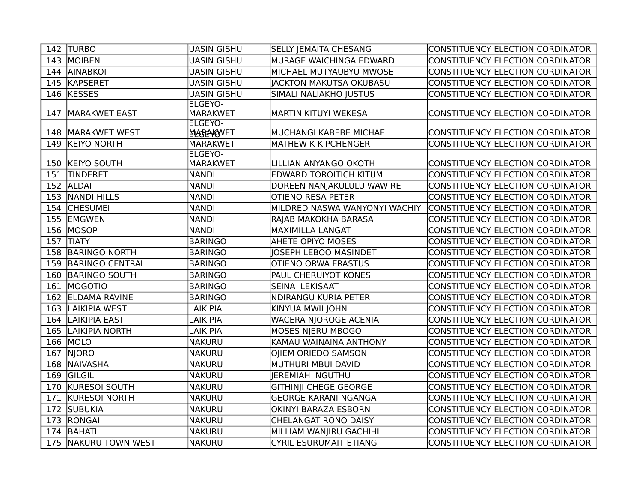|     | 142 TURBO            | UASIN GISHU                       | <b>SELLY JEMAITA CHESANG</b>  | CONSTITUENCY ELECTION CORDINATOR        |
|-----|----------------------|-----------------------------------|-------------------------------|-----------------------------------------|
|     | 143 MOIBEN           | <b>UASIN GISHU</b>                | MURAGE WAICHINGA EDWARD       | CONSTITUENCY ELECTION CORDINATOR        |
| 144 | <b>AINABKOI</b>      | <b>UASIN GISHU</b>                | MICHAEL MUTYAUBYU MWOSE       | <b>CONSTITUENCY ELECTION CORDINATOR</b> |
|     | 145 KAPSERET         | <b>UASIN GISHU</b>                | JACKTON MAKUTSA OKUBASU       | CONSTITUENCY ELECTION CORDINATOR        |
|     | 146 KESSES           | <b>UASIN GISHU</b>                | SIMALI NALIAKHO JUSTUS        | CONSTITUENCY ELECTION CORDINATOR        |
| 147 | <b>MARAKWET EAST</b> | <b>ELGEYO-</b><br>MARAKWET        | <b>MARTIN KITUYI WEKESA</b>   | CONSTITUENCY ELECTION CORDINATOR        |
|     |                      | <b>ELGEYO-</b>                    |                               |                                         |
|     | 148   MARAKWET WEST  | <b>MAGRAKOVET</b>                 | MUCHANGI KABEBE MICHAEL       | CONSTITUENCY ELECTION CORDINATOR        |
| 149 | <b>KEIYO NORTH</b>   | MARAKWET                          | <b>MATHEW K KIPCHENGER</b>    | CONSTITUENCY ELECTION CORDINATOR        |
|     | 150 KEIYO SOUTH      | <b>ELGEYO-</b><br><b>MARAKWET</b> | LILLIAN ANYANGO OKOTH         | CONSTITUENCY ELECTION CORDINATOR        |
| 151 | <b>TINDERET</b>      | <b>NANDI</b>                      | <b>EDWARD TOROITICH KITUM</b> | <b>CONSTITUENCY ELECTION CORDINATOR</b> |
|     | 152 ALDAI            | <b>NANDI</b>                      | DOREEN NANJAKULULU WAWIRE     | CONSTITUENCY ELECTION CORDINATOR        |
|     | 153 NANDI HILLS      | <b>NANDI</b>                      | <b>OTIENO RESA PETER</b>      | CONSTITUENCY ELECTION CORDINATOR        |
|     | 154 CHESUMEI         | NANDI                             | MILDRED NASWA WANYONYI WACHIY | CONSTITUENCY ELECTION CORDINATOR        |
|     | 155 EMGWEN           | NANDI                             | RAJAB MAKOKHA BARASA          | CONSTITUENCY ELECTION CORDINATOR        |
| 156 | MOSOP                | NANDI                             | <b>MAXIMILLA LANGAT</b>       | CONSTITUENCY ELECTION CORDINATOR        |
| 157 | <b>TIATY</b>         | BARINGO                           | <b>AHETE OPIYO MOSES</b>      | CONSTITUENCY ELECTION CORDINATOR        |
|     | 158 BARINGO NORTH    | BARINGO                           | JOSEPH LEBOO MASINDET         | CONSTITUENCY ELECTION CORDINATOR        |
|     | 159 BARINGO CENTRAL  | BARINGO                           | <b>OTIENO ORWA ERASTUS</b>    | CONSTITUENCY ELECTION CORDINATOR        |
|     | 160 BARINGO SOUTH    | BARINGO                           | <b>PAUL CHERUIYOT KONES</b>   | CONSTITUENCY ELECTION CORDINATOR        |
|     | 161 MOGOTIO          | BARINGO                           | SEINA LEKISAAT                | CONSTITUENCY ELECTION CORDINATOR        |
|     | 162 ELDAMA RAVINE    | BARINGO                           | <b>NDIRANGU KURIA PETER</b>   | CONSTITUENCY ELECTION CORDINATOR        |
| 163 | <b>LAIKIPIA WEST</b> | LAIKIPIA                          | KINYUA MWII JOHN              | CONSTITUENCY ELECTION CORDINATOR        |
| 164 | LAIKIPIA EAST        | LAIKIPIA                          | <b>WACERA NJOROGE ACENIA</b>  | CONSTITUENCY ELECTION CORDINATOR        |
| 165 | LAIKIPIA NORTH       | LAIKIPIA                          | <b>MOSES NIERU MBOGO</b>      | <b>CONSTITUENCY ELECTION CORDINATOR</b> |
| 166 | MOLO                 | NAKURU                            | KAMAU WAINAINA ANTHONY        | CONSTITUENCY ELECTION CORDINATOR        |
|     | 167 NJORO            | <b>NAKURU</b>                     | OJIEM ORIEDO SAMSON           | CONSTITUENCY ELECTION CORDINATOR        |
|     | 168 NAIVASHA         | <b>NAKURU</b>                     | MUTHURI MBUI DAVID            | CONSTITUENCY ELECTION CORDINATOR        |
|     | 169 GILGIL           | NAKURU                            | JEREMIAH NGUTHU               | CONSTITUENCY ELECTION CORDINATOR        |
|     | 170 KURESOI SOUTH    | NAKURU                            | <b>GITHINJI CHEGE GEORGE</b>  | CONSTITUENCY ELECTION CORDINATOR        |
| 171 | KURESOI NORTH        | NAKURU                            | <b>GEORGE KARANI NGANGA</b>   | CONSTITUENCY ELECTION CORDINATOR        |
| 172 | <b>SUBUKIA</b>       | NAKURU                            | <b>OKINYI BARAZA ESBORN</b>   | CONSTITUENCY ELECTION CORDINATOR        |
|     | 173 RONGAI           | NAKURU                            | CHELANGAT RONO DAISY          | CONSTITUENCY ELECTION CORDINATOR        |
|     | 174 BAHATI           | NAKURU                            | MILLIAM WANJIRU GACHIHI       | CONSTITUENCY ELECTION CORDINATOR        |
|     | 175 NAKURU TOWN WEST | NAKURU                            | <b>CYRIL ESURUMAIT ETIANG</b> | CONSTITUENCY ELECTION CORDINATOR        |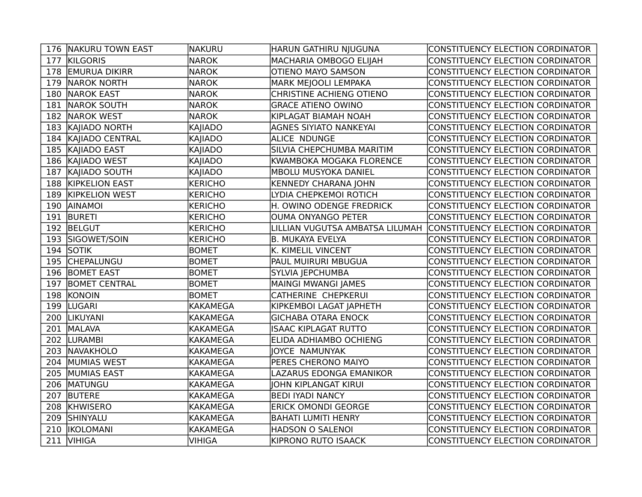|     | 176 NAKURU TOWN EAST  | NAKURU          | HARUN GATHIRU NJUGUNA           | CONSTITUENCY ELECTION CORDINATOR        |
|-----|-----------------------|-----------------|---------------------------------|-----------------------------------------|
| 177 | <b>KILGORIS</b>       | NAROK           | MACHARIA OMBOGO ELIJAH          | CONSTITUENCY ELECTION CORDINATOR        |
| 178 | <b>EMURUA DIKIRR</b>  | <b>NAROK</b>    | <b>OTIENO MAYO SAMSON</b>       | CONSTITUENCY ELECTION CORDINATOR        |
| 179 | NAROK NORTH           | <b>NAROK</b>    | <b>MARK MEJOOLI LEMPAKA</b>     | CONSTITUENCY ELECTION CORDINATOR        |
|     | 180 NAROK EAST        | <b>NAROK</b>    | CHRISTINE ACHIENG OTIENO        | CONSTITUENCY ELECTION CORDINATOR        |
|     | 181 NAROK SOUTH       | <b>NAROK</b>    | <b>GRACE ATIENO OWINO</b>       | CONSTITUENCY ELECTION CORDINATOR        |
|     | 182 NAROK WEST        | NAROK           | KIPLAGAT BIAMAH NOAH            | CONSTITUENCY ELECTION CORDINATOR        |
|     | 183 KAJIADO NORTH     | KAJIADO         | <b>AGNES SIYIATO NANKEYAI</b>   | CONSTITUENCY ELECTION CORDINATOR        |
|     | 184 KAJIADO CENTRAL   | KAJIADO         | <b>ALICE NDUNGE</b>             | CONSTITUENCY ELECTION CORDINATOR        |
|     | 185 KAJIADO EAST      | KAJIADO         | SILVIA CHEPCHUMBA MARITIM       | CONSTITUENCY ELECTION CORDINATOR        |
|     | 186 KAJIADO WEST      | KAJIADO         | KWAMBOKA MOGAKA FLORENCE        | CONSTITUENCY ELECTION CORDINATOR        |
|     | 187 KAJIADO SOUTH     | KAJIADO         | MBOLU MUSYOKA DANIEL            | CONSTITUENCY ELECTION CORDINATOR        |
|     | 188 KIPKELION EAST    | KERICHO         | <b>KENNEDY CHARANA JOHN</b>     | <b>CONSTITUENCY ELECTION CORDINATOR</b> |
| 189 | <b>KIPKELION WEST</b> | <b>KERICHO</b>  | LYDIA CHEPKEMOI ROTICH          | CONSTITUENCY ELECTION CORDINATOR        |
| 190 | <b>AINAMOI</b>        | <b>KERICHO</b>  | H. OWINO ODENGE FREDRICK        | CONSTITUENCY ELECTION CORDINATOR        |
| 191 | <b>BURETI</b>         | <b>KERICHO</b>  | <b>OUMA ONYANGO PETER</b>       | <b>CONSTITUENCY ELECTION CORDINATOR</b> |
|     | 192 BELGUT            | <b>KERICHO</b>  | LILLIAN VUGUTSA AMBATSA LILUMAH | CONSTITUENCY ELECTION CORDINATOR        |
|     | 193 SIGOWET/SOIN      | <b>KERICHO</b>  | <b>B. MUKAYA EVELYA</b>         | CONSTITUENCY ELECTION CORDINATOR        |
|     | 194 SOTIK             | <b>BOMET</b>    | K. KIMELIL VINCENT              | CONSTITUENCY ELECTION CORDINATOR        |
|     | 195 CHEPALUNGU        | <b>BOMET</b>    | <b>PAUL MUIRURI MBUGUA</b>      | CONSTITUENCY ELECTION CORDINATOR        |
|     | 196 BOMET EAST        | <b>BOMET</b>    | SYLVIA JEPCHUMBA                | CONSTITUENCY ELECTION CORDINATOR        |
| 197 | <b>BOMET CENTRAL</b>  | <b>BOMET</b>    | MAINGI MWANGI JAMES             | CONSTITUENCY ELECTION CORDINATOR        |
|     | 198 KONOIN            | <b>BOMET</b>    | CATHERINE CHEPKERUI             | CONSTITUENCY ELECTION CORDINATOR        |
|     | 199 LUGARI            | <b>KAKAMEGA</b> | KIPKEMBOI LAGAT JAPHETH         | CONSTITUENCY ELECTION CORDINATOR        |
|     | 200  LIKUYANI         | <b>KAKAMEGA</b> | <b>GICHABA OTARA ENOCK</b>      | CONSTITUENCY ELECTION CORDINATOR        |
|     | 201 MALAVA            | <b>KAKAMEGA</b> | <b>ISAAC KIPLAGAT RUTTO</b>     | CONSTITUENCY ELECTION CORDINATOR        |
| 202 | <b>LURAMBI</b>        | <b>KAKAMEGA</b> | <b>ELIDA ADHIAMBO OCHIENG</b>   | CONSTITUENCY ELECTION CORDINATOR        |
| 203 | NAVAKHOLO             | <b>KAKAMEGA</b> | JOYCE NAMUNYAK                  | CONSTITUENCY ELECTION CORDINATOR        |
| 204 | MUMIAS WEST           | <b>KAKAMEGA</b> | PERES CHERONO MAIYO             | CONSTITUENCY ELECTION CORDINATOR        |
| 205 | MUMIAS EAST           | <b>KAKAMEGA</b> | LAZARUS EDONGA EMANIKOR         | CONSTITUENCY ELECTION CORDINATOR        |
|     | 206 MATUNGU           | <b>KAKAMEGA</b> | JOHN KIPLANGAT KIRUI            | CONSTITUENCY ELECTION CORDINATOR        |
| 207 | <b>BUTERE</b>         | <b>KAKAMEGA</b> | <b>BEDI IYADI NANCY</b>         | CONSTITUENCY ELECTION CORDINATOR        |
| 208 | KHWISERO              | <b>KAKAMEGA</b> | <b>ERICK OMONDI GEORGE</b>      | CONSTITUENCY ELECTION CORDINATOR        |
|     | 209 SHINYALU          | <b>KAKAMEGA</b> | <b>BAHATI LUMITI HENRY</b>      | CONSTITUENCY ELECTION CORDINATOR        |
|     | 210  IKOLOMANI        | <b>KAKAMEGA</b> | <b>HADSON O SALENOI</b>         | CONSTITUENCY ELECTION CORDINATOR        |
|     | 211 VIHIGA            | <b>VIHIGA</b>   | KIPRONO RUTO ISAACK             | CONSTITUENCY ELECTION CORDINATOR        |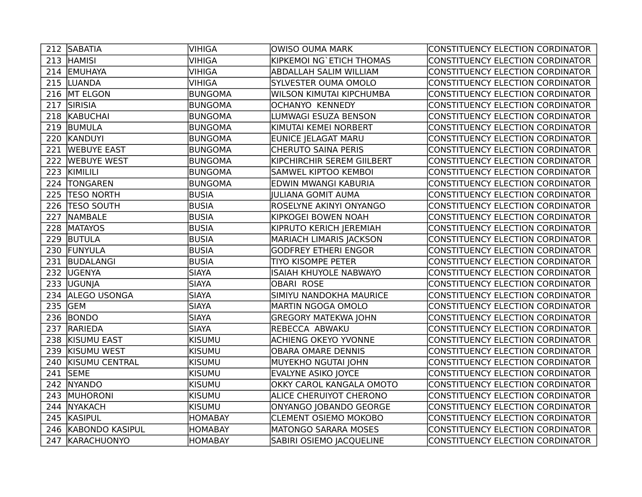|     | 212 SABATIA           | VIHIGA         | <b>OWISO OUMA MARK</b>          | CONSTITUENCY ELECTION CORDINATOR |
|-----|-----------------------|----------------|---------------------------------|----------------------------------|
|     | 213 HAMISI            | <b>VIHIGA</b>  | KIPKEMOI NG`ETICH THOMAS        | CONSTITUENCY ELECTION CORDINATOR |
|     | 214 EMUHAYA           | <b>VIHIGA</b>  | ABDALLAH SALIM WILLIAM          | CONSTITUENCY ELECTION CORDINATOR |
|     | 215 LUANDA            | <b>VIHIGA</b>  | <b>SYLVESTER OUMA OMOLO</b>     | CONSTITUENCY ELECTION CORDINATOR |
|     | 216 MT ELGON          | BUNGOMA        | <b>WILSON KIMUTAI KIPCHUMBA</b> | CONSTITUENCY ELECTION CORDINATOR |
|     | 217 SIRISIA           | BUNGOMA        | <b>OCHANYO KENNEDY</b>          | CONSTITUENCY ELECTION CORDINATOR |
|     | 218 KABUCHAI          | BUNGOMA        | LUMWAGI ESUZA BENSON            | CONSTITUENCY ELECTION CORDINATOR |
|     | 219 BUMULA            | BUNGOMA        | KIMUTAI KEMEI NORBERT           | CONSTITUENCY ELECTION CORDINATOR |
|     | 220 KANDUYI           | BUNGOMA        | EUNICE JELAGAT MARU             | CONSTITUENCY ELECTION CORDINATOR |
|     | 221 WEBUYE EAST       | <b>BUNGOMA</b> | <b>CHERUTO SAINA PERIS</b>      | CONSTITUENCY ELECTION CORDINATOR |
|     | 222 WEBUYE WEST       | BUNGOMA        | KIPCHIRCHIR SEREM GIILBERT      | CONSTITUENCY ELECTION CORDINATOR |
|     | 223 KIMILILI          | <b>BUNGOMA</b> | SAMWEL KIPTOO KEMBOI            | CONSTITUENCY ELECTION CORDINATOR |
|     | 224 TONGAREN          | BUNGOMA        | EDWIN MWANGI KABURIA            | CONSTITUENCY ELECTION CORDINATOR |
| 225 | <b>TESO NORTH</b>     | <b>BUSIA</b>   | JULIANA GOMIT AUMA              | CONSTITUENCY ELECTION CORDINATOR |
| 226 | <b>TESO SOUTH</b>     | <b>BUSIA</b>   | ROSELYNE AKINYI ONYANGO         | CONSTITUENCY ELECTION CORDINATOR |
| 227 | <b>NAMBALE</b>        | <b>BUSIA</b>   | KIPKOGEI BOWEN NOAH             | CONSTITUENCY ELECTION CORDINATOR |
| 228 | <b>MATAYOS</b>        | <b>BUSIA</b>   | KIPRUTO KERICH JEREMIAH         | CONSTITUENCY ELECTION CORDINATOR |
|     | 229 BUTULA            | BUSIA          | <b>MARIACH LIMARIS JACKSON</b>  | CONSTITUENCY ELECTION CORDINATOR |
|     | 230 FUNYULA           | BUSIA          | <b>GODFREY ETHERI ENGOR</b>     | CONSTITUENCY ELECTION CORDINATOR |
|     | 231 BUDALANGI         | BUSIA          | <b>TIYO KISOMPE PETER</b>       | CONSTITUENCY ELECTION CORDINATOR |
|     | 232 UGENYA            | <b>SIAYA</b>   | <b>ISAIAH KHUYOLE NABWAYO</b>   | CONSTITUENCY ELECTION CORDINATOR |
|     | 233 UGUNJA            | <b>SIAYA</b>   | <b>OBARI ROSE</b>               | CONSTITUENCY ELECTION CORDINATOR |
|     | 234 ALEGO USONGA      | <b>SIAYA</b>   | SIMIYU NANDOKHA MAURICE         | CONSTITUENCY ELECTION CORDINATOR |
|     | 235 GEM               | <b>SIAYA</b>   | MARTIN NGOGA OMOLO              | CONSTITUENCY ELECTION CORDINATOR |
|     | 236 BONDO             | <b>SIAYA</b>   | <b>GREGORY MATEKWA JOHN</b>     | CONSTITUENCY ELECTION CORDINATOR |
|     | 237 RARIEDA           | <b>SIAYA</b>   | REBECCA ABWAKU                  | CONSTITUENCY ELECTION CORDINATOR |
| 238 | <b>KISUMU EAST</b>    | <b>KISUMU</b>  | ACHIENG OKEYO YVONNE            | CONSTITUENCY ELECTION CORDINATOR |
| 239 | <b>KISUMU WEST</b>    | <b>KISUMU</b>  | <b>OBARA OMARE DENNIS</b>       | CONSTITUENCY ELECTION CORDINATOR |
| 240 | <b>KISUMU CENTRAL</b> | <b>KISUMU</b>  | MUYEKHO NGUTAI JOHN             | CONSTITUENCY ELECTION CORDINATOR |
| 241 | <b>SEME</b>           | KISUMU         | <b>EVALYNE ASIKO JOYCE</b>      | CONSTITUENCY ELECTION CORDINATOR |
|     | 242 NYANDO            | KISUMU         | <b>OKKY CAROL KANGALA OMOTO</b> | CONSTITUENCY ELECTION CORDINATOR |
|     | 243 MUHORONI          | KISUMU         | <b>ALICE CHERUIYOT CHERONO</b>  | CONSTITUENCY ELECTION CORDINATOR |
| 244 | <b>NYAKACH</b>        | KISUMU         | ONYANGO JOBANDO GEORGE          | CONSTITUENCY ELECTION CORDINATOR |
|     | 245 KASIPUL           | <b>HOMABAY</b> | <b>CLEMENT OSIEMO MOKOBO</b>    | CONSTITUENCY ELECTION CORDINATOR |
|     | 246 KABONDO KASIPUL   | <b>HOMABAY</b> | <b>MATONGO SARARA MOSES</b>     | CONSTITUENCY ELECTION CORDINATOR |
|     | 247 KARACHUONYO       | <b>HOMABAY</b> | SABIRI OSIEMO JACQUELINE        | CONSTITUENCY ELECTION CORDINATOR |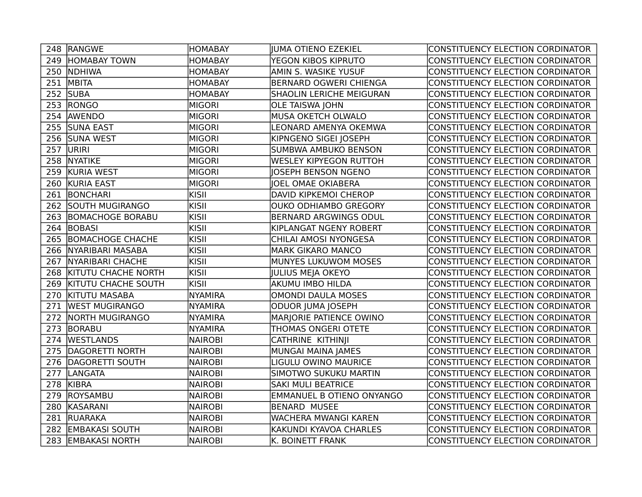|     | 248 RANGWE                 | <b>HOMABAY</b> | JUMA OTIENO EZEKIEL              | CONSTITUENCY ELECTION CORDINATOR        |
|-----|----------------------------|----------------|----------------------------------|-----------------------------------------|
|     | 249 HOMABAY TOWN           | <b>HOMABAY</b> | YEGON KIBOS KIPRUTO              | CONSTITUENCY ELECTION CORDINATOR        |
|     | 250 NDHIWA                 | <b>HOMABAY</b> | AMIN S. WASIKE YUSUF             | CONSTITUENCY ELECTION CORDINATOR        |
| 251 | MBITA                      | <b>HOMABAY</b> | <b>BERNARD OGWERI CHIENGA</b>    | CONSTITUENCY ELECTION CORDINATOR        |
|     | 252 SUBA                   | <b>HOMABAY</b> | <b>SHAOLIN LERICHE MEIGURAN</b>  | CONSTITUENCY ELECTION CORDINATOR        |
|     | 253 RONGO                  | <b>MIGORI</b>  | <b>OLE TAISWA JOHN</b>           | CONSTITUENCY ELECTION CORDINATOR        |
|     | 254 AWENDO                 | <b>MIGORI</b>  | <b>MUSA OKETCH OLWALO</b>        | CONSTITUENCY ELECTION CORDINATOR        |
| 255 | <b>SUNA EAST</b>           | <b>MIGORI</b>  | LEONARD AMENYA OKEMWA            | CONSTITUENCY ELECTION CORDINATOR        |
|     | 256 SUNA WEST              | <b>MIGORI</b>  | KIPNGENO SIGEI JOSEPH            | CONSTITUENCY ELECTION CORDINATOR        |
| 257 | URIRI                      | <b>MIGORI</b>  | <b>SUMBWA AMBUKO BENSON</b>      | CONSTITUENCY ELECTION CORDINATOR        |
|     | 258 NYATIKE                | <b>MIGORI</b>  | <b>WESLEY KIPYEGON RUTTOH</b>    | <b>CONSTITUENCY ELECTION CORDINATOR</b> |
|     | 259 KURIA WEST             | <b>MIGORI</b>  | JOSEPH BENSON NGENO              | CONSTITUENCY ELECTION CORDINATOR        |
|     | 260 KURIA EAST             | <b>MIGORI</b>  | <b>JOEL OMAE OKIABERA</b>        | CONSTITUENCY ELECTION CORDINATOR        |
| 261 | BONCHARI                   | kisii          | DAVID KIPKEMOI CHEROP            | CONSTITUENCY ELECTION CORDINATOR        |
| 262 | <b>SOUTH MUGIRANGO</b>     | KISII          | <b>OUKO ODHIAMBO GREGORY</b>     | CONSTITUENCY ELECTION CORDINATOR        |
| 263 | <b>BOMACHOGE BORABU</b>    | KISII          | <b>BERNARD ARGWINGS ODUL</b>     | CONSTITUENCY ELECTION CORDINATOR        |
| 264 | <b>BOBASI</b>              | kisii          | KIPLANGAT NGENY ROBERT           | CONSTITUENCY ELECTION CORDINATOR        |
| 265 | <b>BOMACHOGE CHACHE</b>    | KISII          | CHILAI AMOSI NYONGESA            | <b>CONSTITUENCY ELECTION CORDINATOR</b> |
|     | 266   NYARIBARI MASABA     | kisii          | <b>MARK GIKARO MANCO</b>         | CONSTITUENCY ELECTION CORDINATOR        |
| 267 | NYARIBARI CHACHE           | kisii          | MUNYES LUKUWOM MOSES             | CONSTITUENCY ELECTION CORDINATOR        |
| 268 | <b>KITUTU CHACHE NORTH</b> | kisii          | JULIUS MEJA OKEYO                | CONSTITUENCY ELECTION CORDINATOR        |
| 269 | <b>KITUTU CHACHE SOUTH</b> | kisii          | AKUMU IMBO HILDA                 | CONSTITUENCY ELECTION CORDINATOR        |
| 270 | <b>KITUTU MASABA</b>       | <b>NYAMIRA</b> | <b>OMONDI DAULA MOSES</b>        | CONSTITUENCY ELECTION CORDINATOR        |
| 271 | <b>WEST MUGIRANGO</b>      | <b>NYAMIRA</b> | ODUOR JUMA JOSEPH                | CONSTITUENCY ELECTION CORDINATOR        |
| 272 | NORTH MUGIRANGO            | <b>NYAMIRA</b> | <b>MARJORIE PATIENCE OWINO</b>   | CONSTITUENCY ELECTION CORDINATOR        |
|     | 273 BORABU                 | <b>NYAMIRA</b> | THOMAS ONGERI OTETE              | CONSTITUENCY ELECTION CORDINATOR        |
|     | 274 WESTLANDS              | <b>NAIROBI</b> | <b>CATHRINE KITHINJI</b>         | CONSTITUENCY ELECTION CORDINATOR        |
| 275 | DAGORETTI NORTH            | <b>NAIROBI</b> | MUNGAI MAINA JAMES               | CONSTITUENCY ELECTION CORDINATOR        |
| 276 | DAGORETTI SOUTH            | <b>NAIROBI</b> | LIGULU OWINO MAURICE             | CONSTITUENCY ELECTION CORDINATOR        |
| 277 | LANGATA                    | <b>NAIROBI</b> | SIMOTWO SUKUKU MARTIN            | CONSTITUENCY ELECTION CORDINATOR        |
| 278 | KIBRA                      | <b>NAIROBI</b> | <b>SAKI MULI BEATRICE</b>        | CONSTITUENCY ELECTION CORDINATOR        |
|     | 279 ROYSAMBU               | <b>NAIROBI</b> | <b>EMMANUEL B OTIENO ONYANGO</b> | CONSTITUENCY ELECTION CORDINATOR        |
|     | 280 KASARANI               | <b>NAIROBI</b> | <b>BENARD MUSEE</b>              | CONSTITUENCY ELECTION CORDINATOR        |
| 281 | RUARAKA                    | NAIROBI        | <b>WACHERA MWANGI KAREN</b>      | CONSTITUENCY ELECTION CORDINATOR        |
| 282 | <b>EMBAKASI SOUTH</b>      | <b>NAIROBI</b> | KAKUNDI KYAVOA CHARLES           | CONSTITUENCY ELECTION CORDINATOR        |
|     | 283 EMBAKASI NORTH         | <b>NAIROBI</b> | K. BOINETT FRANK                 | CONSTITUENCY ELECTION CORDINATOR        |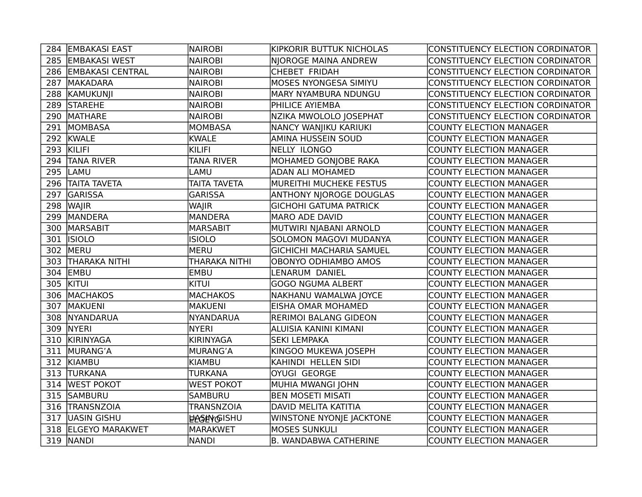| 284 EMBAKASI EAST                                       | NAIROBI             | KIPKORIR BUTTUK NICHOLAS         | CONSTITUENCY ELECTION CORDINATOR |  |
|---------------------------------------------------------|---------------------|----------------------------------|----------------------------------|--|
| 285 EMBAKASI WEST                                       | <b>NAIROBI</b>      | NJOROGE MAINA ANDREW             | CONSTITUENCY ELECTION CORDINATOR |  |
| 286 EMBAKASI CENTRAL<br><b>NAIROBI</b><br>CHEBET FRIDAH |                     | CONSTITUENCY ELECTION CORDINATOR |                                  |  |
| 287 MAKADARA                                            | <b>NAIROBI</b>      | <b>MOSES NYONGESA SIMIYU</b>     | CONSTITUENCY ELECTION CORDINATOR |  |
| 288 KAMUKUNJI                                           | <b>NAIROBI</b>      | MARY NYAMBURA NDUNGU             | CONSTITUENCY ELECTION CORDINATOR |  |
| 289 STAREHE                                             | <b>NAIROBI</b>      | PHILICE AYIEMBA                  | CONSTITUENCY ELECTION CORDINATOR |  |
| 290 MATHARE                                             | <b>NAIROBI</b>      | NZIKA MWOLOLO JOSEPHAT           | CONSTITUENCY ELECTION CORDINATOR |  |
| 291 MOMBASA                                             | MOMBASA             | NANCY WANJIKU KARIUKI            | <b>COUNTY ELECTION MANAGER</b>   |  |
| 292 KWALE                                               | <b>KWALE</b>        | AMINA HUSSEIN SOUD               | <b>COUNTY ELECTION MANAGER</b>   |  |
| 293 KILIFI                                              | KILIFI              | NELLY ILONGO                     | <b>COUNTY ELECTION MANAGER</b>   |  |
| 294 TANA RIVER                                          | <b>TANA RIVER</b>   | MOHAMED GONJOBE RAKA             | <b>COUNTY ELECTION MANAGER</b>   |  |
| 295 LAMU                                                | LAMU                | <b>ADAN ALI MOHAMED</b>          | <b>COUNTY ELECTION MANAGER</b>   |  |
| 296 TAITA TAVETA                                        | <b>TAITA TAVETA</b> | MUREITHI MUCHEKE FESTUS          | <b>COUNTY ELECTION MANAGER</b>   |  |
| 297 GARISSA                                             | <b>GARISSA</b>      | <b>ANTHONY NJOROGE DOUGLAS</b>   | <b>COUNTY ELECTION MANAGER</b>   |  |
| 298 WAJIR                                               | <b>WAJIR</b>        | <b>GICHOHI GATUMA PATRICK</b>    | <b>COUNTY ELECTION MANAGER</b>   |  |
| 299 MANDERA                                             | <b>MANDERA</b>      | <b>MARO ADE DAVID</b>            | <b>COUNTY ELECTION MANAGER</b>   |  |
| 300 MARSABIT                                            | <b>MARSABIT</b>     | MUTWIRI NJABANI ARNOLD           | <b>COUNTY ELECTION MANAGER</b>   |  |
| 301   ISIOLO                                            | <b>ISIOLO</b>       | SOLOMON MAGOVI MUDANYA           | <b>COUNTY ELECTION MANAGER</b>   |  |
| 302 MERU                                                | MERU                | <b>GICHICHI MACHARIA SAMUEL</b>  | <b>COUNTY ELECTION MANAGER</b>   |  |
| 303 THARAKA NITHI                                       | THARAKA NITHI       | OBONYO ODHIAMBO AMOS             | <b>COUNTY ELECTION MANAGER</b>   |  |
| 304 EMBU                                                | <b>EMBU</b>         | LENARUM DANIEL                   | <b>COUNTY ELECTION MANAGER</b>   |  |
| 305 KITUI                                               | <b>KITUI</b>        | <b>GOGO NGUMA ALBERT</b>         | <b>COUNTY ELECTION MANAGER</b>   |  |
| 306 MACHAKOS                                            | <b>MACHAKOS</b>     | NAKHANU WAMALWA JOYCE            | <b>COUNTY ELECTION MANAGER</b>   |  |
| 307   MAKUENI                                           | MAKUENI             | <b>EISHA OMAR MOHAMED</b>        | <b>COUNTY ELECTION MANAGER</b>   |  |
| 308 NYANDARUA                                           | <b>NYANDARUA</b>    | <b>RERIMOI BALANG GIDEON</b>     | <b>COUNTY ELECTION MANAGER</b>   |  |
| 309 NYERI                                               | <b>NYERI</b>        | ALUISIA KANINI KIMANI            | <b>COUNTY ELECTION MANAGER</b>   |  |
| 310 KIRINYAGA                                           | KIRINYAGA           | <b>SEKI LEMPAKA</b>              | <b>COUNTY ELECTION MANAGER</b>   |  |
| 311 MURANG'A                                            | MURANG'A            | KINGOO MUKEWA JOSEPH             | <b>COUNTY ELECTION MANAGER</b>   |  |
| 312 KIAMBU                                              | KIAMBU              | KAHINDI HELLEN SIDI              | <b>COUNTY ELECTION MANAGER</b>   |  |
| 313 TURKANA                                             | <b>TURKANA</b>      | <b>OYUGI GEORGE</b>              | <b>COUNTY ELECTION MANAGER</b>   |  |
| 314 WEST POKOT                                          | <b>WEST POKOT</b>   | MUHIA MWANGI JOHN                | <b>COUNTY ELECTION MANAGER</b>   |  |
| 315 SAMBURU                                             | <b>SAMBURU</b>      | <b>BEN MOSETI MISATI</b>         | <b>COUNTY ELECTION MANAGER</b>   |  |
| 316 TRANSNZOIA                                          | <b>TRANSNZOIA</b>   | DAVID MELITA KATITIA             | <b>COUNTY ELECTION MANAGER</b>   |  |
| 317 UASIN GISHU                                         | <b>ELGENGISHU</b>   | <b>WINSTONE NYONJE JACKTONE</b>  | <b>COUNTY ELECTION MANAGER</b>   |  |
| 318 ELGEYO MARAKWET                                     | <b>MARAKWET</b>     | <b>MOSES SUNKULI</b>             | <b>COUNTY ELECTION MANAGER</b>   |  |
| 319 NANDI                                               | NANDI               | <b>B. WANDABWA CATHERINE</b>     | <b>COUNTY ELECTION MANAGER</b>   |  |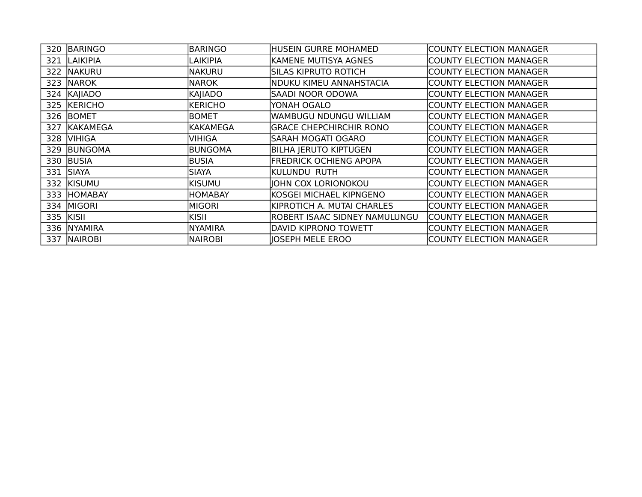| 320       | BARINGO         | <b>BARINGO</b>  | <b>HUSEIN GURRE MOHAMED</b>    | <b>COUNTY ELECTION MANAGER</b> |
|-----------|-----------------|-----------------|--------------------------------|--------------------------------|
| 321       | <b>LAIKIPIA</b> | LAIKIPIA        | KAMENE MUTISYA AGNES           | <b>COUNTY ELECTION MANAGER</b> |
| 322       | <b>NAKURU</b>   | <b>NAKURU</b>   | <b>SILAS KIPRUTO ROTICH</b>    | <b>COUNTY ELECTION MANAGER</b> |
| 323       | <b>NAROK</b>    | <b>NAROK</b>    | NDUKU KIMEU ANNAHSTACIA        | <b>COUNTY ELECTION MANAGER</b> |
|           | 324 KAJIADO     | KAJIADO         | SAADI NOOR ODOWA               | <b>COUNTY ELECTION MANAGER</b> |
|           | 325 KERICHO     | <b>KERICHO</b>  | YONAH OGALO                    | <b>COUNTY ELECTION MANAGER</b> |
| 326       | <b>BOMET</b>    | <b>BOMET</b>    | WAMBUGU NDUNGU WILLIAM         | <b>COUNTY ELECTION MANAGER</b> |
| 327       | KAKAMEGA        | <b>KAKAMEGA</b> | <b>GRACE CHEPCHIRCHIR RONO</b> | <b>COUNTY ELECTION MANAGER</b> |
| 328       | <b>VIHIGA</b>   | <b>VIHIGA</b>   | SARAH MOGATI OGARO             | <b>COUNTY ELECTION MANAGER</b> |
| 329       | <b>BUNGOMA</b>  | <b>BUNGOMA</b>  | <b>BILHA JERUTO KIPTUGEN</b>   | <b>COUNTY ELECTION MANAGER</b> |
| 330       | BUSIA           | <b>BUSIA</b>    | <b>FREDRICK OCHIENG APOPA</b>  | <b>COUNTY ELECTION MANAGER</b> |
| 331       | <b>SIAYA</b>    | <b>SIAYA</b>    | KULUNDU RUTH                   | <b>COUNTY ELECTION MANAGER</b> |
| 332       | <b>KISUMU</b>   | KISUMU          | JOHN COX LORIONOKOU            | <b>COUNTY ELECTION MANAGER</b> |
| 333       | <b>HOMABAY</b>  | <b>HOMABAY</b>  | KOSGEI MICHAEL KIPNGENO        | <b>COUNTY ELECTION MANAGER</b> |
| 334       | <b>MIGORI</b>   | <b>MIGORI</b>   | KIPROTICH A. MUTAI CHARLES     | <b>COUNTY ELECTION MANAGER</b> |
| 335 KISII |                 | KISII           | ROBERT ISAAC SIDNEY NAMULUNGU  | <b>COUNTY ELECTION MANAGER</b> |
| 336       | <b>NYAMIRA</b>  | <b>NYAMIRA</b>  | DAVID KIPRONO TOWETT           | <b>COUNTY ELECTION MANAGER</b> |
| 337       | <b>NAIROBI</b>  | <b>NAIROBI</b>  | <b>IOSEPH MELE EROO</b>        | <b>COUNTY ELECTION MANAGER</b> |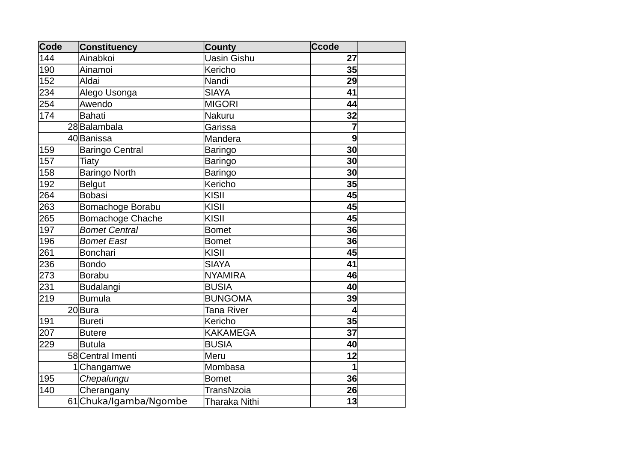| Code | <b>Constituency</b>     | <b>County</b>        | <b>Ccode</b> |  |
|------|-------------------------|----------------------|--------------|--|
| 144  | Ainabkoi                | Uasin Gishu          | 27           |  |
| 190  | Ainamoi                 | Kericho              | 35           |  |
| 152  | Aldai                   | Nandi                | 29           |  |
| 234  | Alego Usonga            | <b>SIAYA</b>         | 41           |  |
| 254  | Awendo                  | <b>MIGORI</b>        | 44           |  |
| 174  | <b>Bahati</b>           | <b>Nakuru</b>        | 32           |  |
|      | 28Balambala             | Garissa              | 7            |  |
|      | 40 Banissa              | Mandera              | 9            |  |
| 159  | <b>Baringo Central</b>  | Baringo              | 30           |  |
| 157  | Tiaty                   | Baringo              | 30           |  |
| 158  | <b>Baringo North</b>    | <b>Baringo</b>       | 30           |  |
| 192  | <b>Belgut</b>           | Kericho              | 35           |  |
| 264  | <b>Bobasi</b>           | <b>KISII</b>         | 45           |  |
| 263  | Bomachoge Borabu        | KISII                | 45           |  |
| 265  | <b>Bomachoge Chache</b> | <b>KISII</b>         | 45           |  |
| 197  | <b>Bomet Central</b>    | <b>Bomet</b>         | 36           |  |
| 196  | <b>Bomet East</b>       | <b>Bomet</b>         | 36           |  |
| 261  | <b>Bonchari</b>         | KISII                | 45           |  |
| 236  | <b>Bondo</b>            | <b>SIAYA</b>         | 41           |  |
| 273  | <b>Borabu</b>           | <b>NYAMIRA</b>       | 46           |  |
| 231  | <b>Budalangi</b>        | <b>BUSIA</b>         | 40           |  |
| 219  | Bumula                  | <b>BUNGOMA</b>       | 39           |  |
|      | 20Bura                  | Tana River           | 4            |  |
| 191  | <b>Bureti</b>           | Kericho              | 35           |  |
| 207  | <b>Butere</b>           | <b>KAKAMEGA</b>      | 37           |  |
| 229  | <b>Butula</b>           | <b>BUSIA</b>         | 40           |  |
|      | 58 Central Imenti       | Meru                 | 12           |  |
|      | 1Changamwe              | Mombasa              | $\mathbf{1}$ |  |
| 195  | Chepalungu              | <b>Bomet</b>         | 36           |  |
| 140  | Cherangany              | TransNzoia           | 26           |  |
|      | 61Chuka/Igamba/Ngombe   | <b>Tharaka Nithi</b> | 13           |  |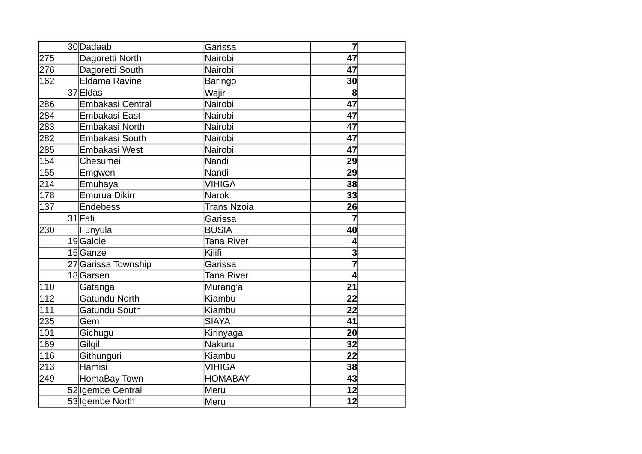|     | 30Dadaab              | Garissa            | 7              |
|-----|-----------------------|--------------------|----------------|
| 275 | Dagoretti North       | Nairobi            | 47             |
| 276 | Dagoretti South       | Nairobi            | 47             |
| 162 | <b>Eldama Ravine</b>  | <b>Baringo</b>     | 30             |
|     | 37 Eldas              | Wajir              | $\bf{8}$       |
| 286 | Embakasi Central      | Nairobi            | 47             |
| 284 | Embakasi East         | Nairobi            | 47             |
| 283 | <b>Embakasi North</b> | Nairobi            | 47             |
| 282 | <b>Embakasi South</b> | Nairobi            | 47             |
| 285 | Embakasi West         | Nairobi            | 47             |
| 154 | Chesumei              | Nandi              | 29             |
| 155 | Emgwen                | Nandi              | 29             |
| 214 | Emuhaya               | <b>VIHIGA</b>      | 38             |
| 178 | <b>Emurua Dikirr</b>  | <b>Narok</b>       | 33             |
| 137 | Endebess              | <b>Trans Nzoia</b> | 26             |
|     | 31 Fafi               | Garissa            | 7              |
| 230 | Funyula               | <b>BUSIA</b>       | 40             |
|     | 19Galole              | Tana River         | 4              |
|     | 15Ganze               | Kilifi             | 3              |
|     | 27 Garissa Township   | Garissa            | 7              |
|     | 18Garsen              | Tana River         | $\overline{4}$ |
| 110 | Gatanga               | Murang'a           | 21             |
| 112 | Gatundu North         | Kiambu             | 22             |
| 111 | Gatundu South         | Kiambu             | 22             |
| 235 | Gem                   | <b>SIAYA</b>       | 41             |
| 101 | Gichugu               | Kirinyaga          | 20             |
| 169 | Gilgil                | Nakuru             | 32             |
| 116 | Githunguri            | Kiambu             | 22             |
| 213 | Hamisi                | <b>VIHIGA</b>      | 38             |
| 249 | HomaBay Town          | <b>HOMABAY</b>     | 43             |
|     | 52 Igembe Central     | Meru               | 12             |
|     | 53 Igembe North       | Meru               | 12             |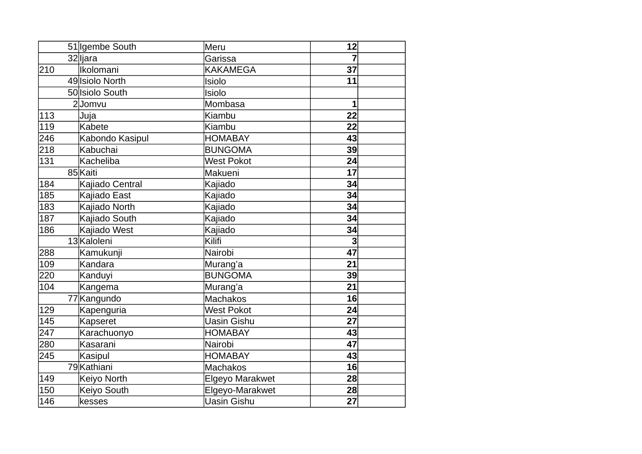|     | 51   Igembe South | Meru               | 12              |
|-----|-------------------|--------------------|-----------------|
|     | 32lijara          | Garissa            | 7               |
| 210 | Ikolomani         | <b>KAKAMEGA</b>    | 37              |
|     | 49 Isiolo North   | Isiolo             | 11              |
|     | 50 Isiolo South   | Isiolo             |                 |
|     | 2Jomvu            | Mombasa            | $\overline{1}$  |
| 113 | Juja              | Kiambu             | 22              |
| 119 | Kabete            | Kiambu             | 22              |
| 246 | Kabondo Kasipul   | <b>HOMABAY</b>     | 43              |
| 218 | Kabuchai          | <b>BUNGOMA</b>     | 39              |
| 131 | Kacheliba         | <b>West Pokot</b>  | 24              |
|     | 85 Kaiti          | Makueni            | 17              |
| 184 | Kajiado Central   | Kajiado            | 34              |
| 185 | Kajiado East      | Kajiado            | 34              |
| 183 | Kajiado North     | Kajiado            | 34              |
| 187 | Kajiado South     | Kajiado            | 34              |
| 186 | Kajiado West      | Kajiado            | 34              |
|     | 13 Kaloleni       | Kilifi             | 3               |
| 288 | Kamukunji         | Nairobi            | 47              |
| 109 | Kandara           | Murang'a           | 21              |
| 220 | Kanduyi           | <b>BUNGOMA</b>     | 39              |
| 104 | Kangema           | Murang'a           | 21              |
|     | 77 Kangundo       | <b>Machakos</b>    | 16              |
| 129 | Kapenguria        | <b>West Pokot</b>  | 24              |
| 145 | Kapseret          | Uasin Gishu        | 27              |
| 247 | Karachuonyo       | <b>HOMABAY</b>     | 43              |
| 280 | Kasarani          | Nairobi            | 47              |
| 245 | Kasipul           | <b>HOMABAY</b>     | 43              |
|     | 79 Kathiani       | <b>Machakos</b>    | 16 <sup>1</sup> |
| 149 | Keiyo North       | Elgeyo Marakwet    | 28              |
| 150 | Keiyo South       | Elgeyo-Marakwet    | 28              |
| 146 | kesses            | <b>Uasin Gishu</b> | 27              |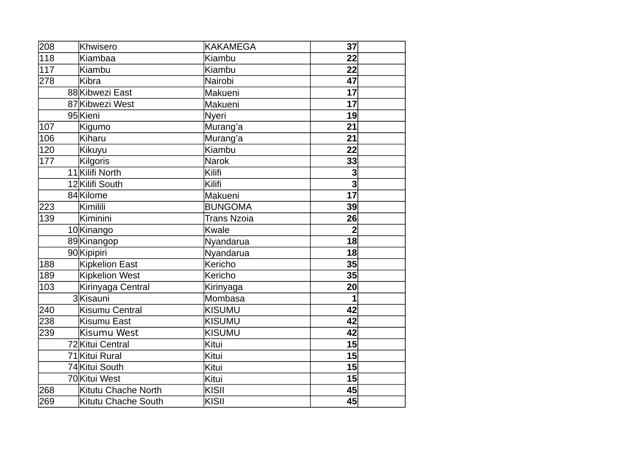| 208 | Khwisero              | <b>KAKAMEGA</b>    | 37                      |
|-----|-----------------------|--------------------|-------------------------|
| 118 | Kiambaa               | Kiambu             | 22                      |
| 117 | Kiambu                | Kiambu             | 22                      |
| 278 | Kibra                 | Nairobi            | 47                      |
|     | 88 Kibwezi East       | Makueni            | $\overline{17}$         |
|     | 87 Kibwezi West       | Makueni            | 17                      |
|     | 95 Kieni              | Nyeri              | 19                      |
| 107 | Kigumo                | Murang'a           | 21                      |
| 106 | Kiharu                | Murang'a           | 21                      |
| 120 | Kikuyu                | Kiambu             | 22                      |
| 177 | Kilgoris              | <b>Narok</b>       | 33                      |
|     | 11Kilifi North        | Kilifi             | 3                       |
|     | 12Kilifi South        | Kilifi             | $\overline{\mathbf{3}}$ |
|     | 84 Kilome             | Makueni            | 17                      |
| 223 | Kimilili              | <b>BUNGOMA</b>     | 39                      |
| 139 | Kiminini              | <b>Trans Nzoia</b> | 26                      |
|     | 10Kinango             | Kwale              | $\overline{2}$          |
|     | 89Kinangop            | Nyandarua          | 18                      |
|     | 90 Kipipiri           | Nyandarua          | 18 <sup>1</sup>         |
| 188 | Kipkelion East        | Kericho            | 35                      |
| 189 | <b>Kipkelion West</b> | Kericho            | 35                      |
| 103 | Kirinyaga Central     | Kirinyaga          | 20                      |
|     | 3Kisauni              | Mombasa            | $\mathbf{1}$            |
| 240 | Kisumu Central        | <b>KISUMU</b>      | 42                      |
| 238 | <b>Kisumu East</b>    | <b>KISUMU</b>      | 42                      |
| 239 | Kisumu West           | <b>KISUMU</b>      | 42                      |
|     | 72 Kitui Central      | Kitui              | 15                      |
|     | 71 Kitui Rural        | Kitui              | 15 <sup>2</sup>         |
|     | 74 Kitui South        | Kitui              | 15 <sup>1</sup>         |
|     | 70 Kitui West         | Kitui              | 15                      |
| 268 | Kitutu Chache North   | KISII              | 45                      |
| 269 | Kitutu Chache South   | KISII              | 45                      |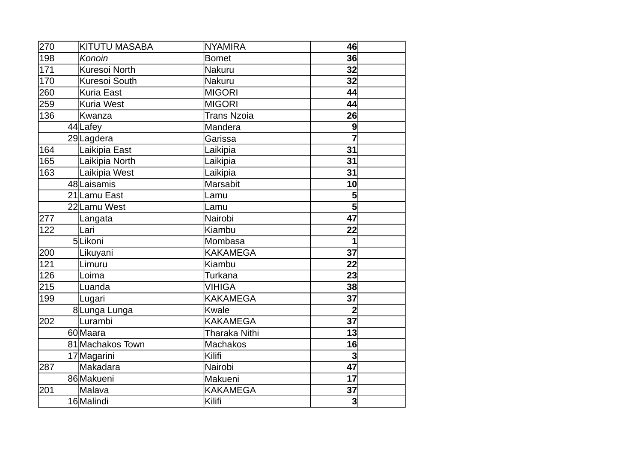| 270 | <b>KITUTU MASABA</b> | <b>NYAMIRA</b>     | 46             |
|-----|----------------------|--------------------|----------------|
| 198 | Konoin               | <b>Bomet</b>       | 36             |
| 171 | Kuresoi North        | Nakuru             | 32             |
| 170 | Kuresoi South        | Nakuru             | 32             |
| 260 | <b>Kuria East</b>    | <b>MIGORI</b>      | 44             |
| 259 | <b>Kuria West</b>    | <b>MIGORI</b>      | 44             |
| 136 | Kwanza               | <b>Trans Nzoia</b> | 26             |
|     | 44 Lafey             | Mandera            | 9              |
|     | 29Lagdera            | Garissa            | 7              |
| 164 | Laikipia East        | Laikipia           | 31             |
| 165 | Laikipia North       | Laikipia           | 31             |
| 163 | Laikipia West        | Laikipia           | 31             |
|     | 48 Laisamis          | <b>Marsabit</b>    | 10             |
|     | 21 Lamu East         | Lamu               | 5              |
|     | 22Lamu West          | Lamu               | 5              |
| 277 | Langata              | Nairobi            | 47             |
| 122 | Lari                 | Kiambu             | 22             |
|     | 5Likoni              | Mombasa            | $\mathbf{1}$   |
| 200 | Likuyani             | <b>KAKAMEGA</b>    | 37             |
| 121 | Limuru               | Kiambu             | 22             |
| 126 | Loima                | <b>Turkana</b>     | 23             |
| 215 | Luanda               | <b>VIHIGA</b>      | 38             |
| 199 | Lugari               | <b>KAKAMEGA</b>    | 37             |
|     | 8Lunga Lunga         | Kwale              | $\overline{2}$ |
| 202 | Lurambi              | <b>KAKAMEGA</b>    | 37             |
|     | 60 Maara             | Tharaka Nithi      | 13             |
|     | 81 Machakos Town     | <b>Machakos</b>    | 16             |
|     | 17 Magarini          | Kilifi             | 3              |
| 287 | Makadara             | Nairobi            | 47             |
|     | 86 Makueni           | Makueni            | 17             |
| 201 | Malava               | <b>KAKAMEGA</b>    | 37             |
|     | 16 Malindi           | Kilifi             | 3 <sup>1</sup> |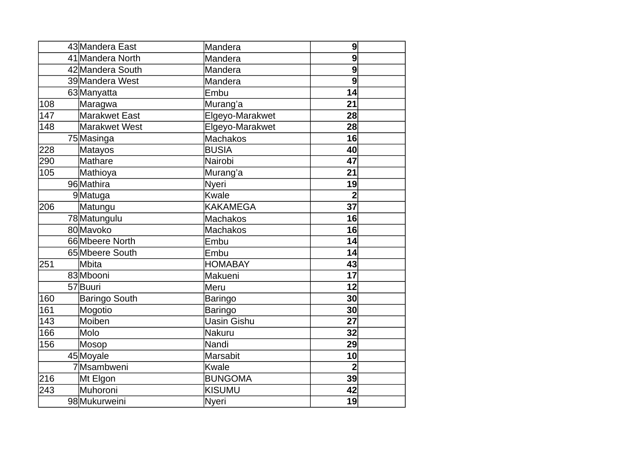|     | 43 Mandera East      | Mandera            | $\boldsymbol{9}$ |
|-----|----------------------|--------------------|------------------|
|     | 41 Mandera North     | Mandera            | 9                |
|     | 42 Mandera South     | Mandera            | $\boldsymbol{9}$ |
|     | 39 Mandera West      | Mandera            | 9                |
|     | 63Manyatta           | Embu               | 14               |
| 108 | Maragwa              | Murang'a           | 21               |
| 147 | <b>Marakwet East</b> | Elgeyo-Marakwet    | 28               |
| 148 | Marakwet West        | Elgeyo-Marakwet    | 28               |
|     | 75 Masinga           | <b>Machakos</b>    | 16               |
| 228 | Matayos              | <b>BUSIA</b>       | 40               |
| 290 | Mathare              | Nairobi            | 47               |
| 105 | Mathioya             | Murang'a           | 21               |
|     | 96 Mathira           | <b>Nyeri</b>       | 19               |
|     | 9Matuga              | Kwale              | $\overline{2}$   |
| 206 | Matungu              | <b>KAKAMEGA</b>    | 37               |
|     | 78 Matungulu         | <b>Machakos</b>    | 16               |
|     | 80Mavoko             | <b>Machakos</b>    | 16               |
|     | 66 Mbeere North      | Embu               | 14               |
|     | 65 Mbeere South      | Embu               | 14               |
| 251 | Mbita                | <b>HOMABAY</b>     | 43               |
|     | 83 Mbooni            | Makueni            | 17               |
|     | 57Buuri              | Meru               | 12               |
| 160 | <b>Baringo South</b> | <b>Baringo</b>     | 30               |
| 161 | Mogotio              | <b>Baringo</b>     | 30               |
| 143 | Moiben               | <b>Uasin Gishu</b> | 27               |
| 166 | lMolo                | Nakuru             | 32               |
| 156 | Mosop                | Nandi              | 29               |
|     | 45 Moyale            | Marsabit           | 10               |
|     | 7Msambweni           | Kwale              | $\overline{2}$   |
| 216 | Mt Elgon             | <b>BUNGOMA</b>     | 39               |
| 243 | Muhoroni             | <b>KISUMU</b>      | 42               |
|     | 98Mukurweini         | <b>Nyeri</b>       | 19               |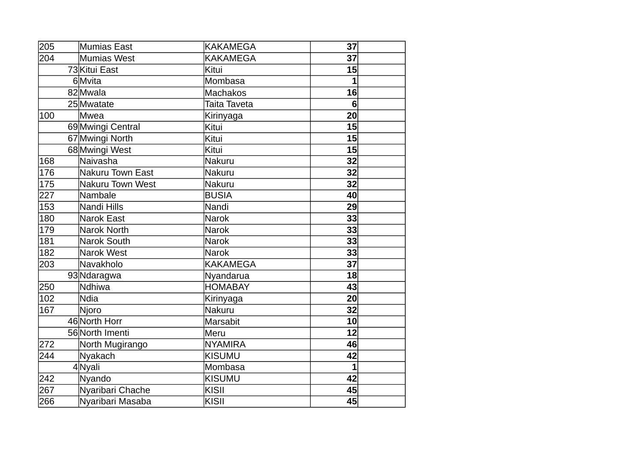| 205 | <b>Mumias East</b>      | <b>KAKAMEGA</b> | 37           |
|-----|-------------------------|-----------------|--------------|
| 204 | Mumias West             | <b>KAKAMEGA</b> | 37           |
|     | 73 Kitui East           | Kitui           | 15           |
|     | 6Mvita                  | Mombasa         | 1            |
|     | 82Mwala                 | <b>Machakos</b> | 16           |
|     | 25 Mwatate              | Taita Taveta    | 6            |
| 100 | lMwea                   | Kirinyaga       | 20           |
|     | 69 Mwingi Central       | Kitui           | 15           |
|     | 67 Mwingi North         | Kitui           | 15           |
|     | 68 Mwingi West          | Kitui           | 15           |
| 168 | lNaivasha               | Nakuru          | 32           |
| 176 | <b>Nakuru Town East</b> | Nakuru          | 32           |
| 175 | <b>Nakuru Town West</b> | Nakuru          | 32           |
| 227 | Nambale                 | <b>BUSIA</b>    | 40           |
| 153 | Nandi Hills             | Nandi           | 29           |
| 180 | <b>Narok East</b>       | Narok           | 33           |
| 179 | Narok North             | <b>Narok</b>    | 33           |
| 181 | <b>Narok South</b>      | Narok           | 33           |
| 182 | Narok West              | <b>Narok</b>    | 33           |
| 203 | Navakholo               | <b>KAKAMEGA</b> | 37           |
|     | 93 Ndaragwa             | Nyandarua       | 18           |
| 250 | Ndhiwa                  | <b>HOMABAY</b>  | 43           |
| 102 | lNdia                   | Kirinyaga       | 20           |
| 167 | Njoro                   | Nakuru          | 32           |
|     | 46 North Horr           | <b>Marsabit</b> | 10           |
|     | 56 North Imenti         | Meru            | 12           |
| 272 | North Mugirango         | <b>NYAMIRA</b>  | 46           |
| 244 | Nyakach                 | <b>KISUMU</b>   | 42           |
|     | 4Nyali                  | Mombasa         | $\mathbf{1}$ |
| 242 | Nyando                  | <b>KISUMU</b>   | 42           |
| 267 | Nyaribari Chache        | KISII           | 45           |
| 266 | Nyaribari Masaba        | KISII           | 45           |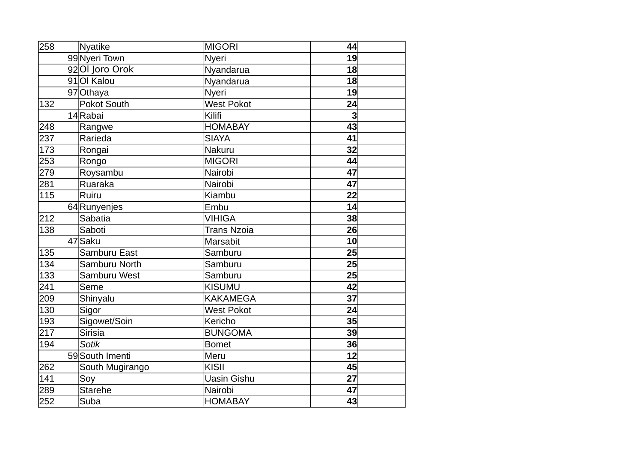| 258 | Nyatike         | <b>MIGORI</b>      | 44             |
|-----|-----------------|--------------------|----------------|
|     | 99Nyeri Town    | Nyeri              | 19             |
|     | 920 Joro Orok   | Nyandarua          | 18             |
|     | 91   Ol Kalou   | Nyandarua          | 18             |
|     | 97 Othaya       | Nyeri              | 19             |
| 132 | Pokot South     | <b>West Pokot</b>  | 24             |
|     | 14Rabai         | Kilifi             | $\overline{3}$ |
| 248 | Rangwe          | <b>HOMABAY</b>     | 43             |
| 237 | Rarieda         | <b>SIAYA</b>       | 41             |
| 173 | Rongai          | Nakuru             | 32             |
| 253 | Rongo           | <b>MIGORI</b>      | 44             |
| 279 | Roysambu        | Nairobi            | 47             |
| 281 | Ruaraka         | Nairobi            | 47             |
| 115 | Ruiru           | Kiambu             | 22             |
|     | 64 Runyenjes    | Embu               | 14             |
| 212 | <b>Sabatia</b>  | <b>VIHIGA</b>      | 38             |
| 138 | Saboti          | <b>Trans Nzoia</b> | 26             |
|     | 47 Saku         | <b>Marsabit</b>    | 10             |
| 135 | Samburu East    | Samburu            | 25             |
| 134 | Samburu North   | Samburu            | 25             |
| 133 | Samburu West    | Samburu            | 25             |
| 241 | Seme            | <b>KISUMU</b>      | 42             |
| 209 | Shinyalu        | <b>KAKAMEGA</b>    | 37             |
| 130 | Sigor           | <b>West Pokot</b>  | 24             |
| 193 | Sigowet/Soin    | Kericho            | 35             |
| 217 | <b>Sirisia</b>  | <b>BUNGOMA</b>     | 39             |
| 194 | <b>Sotik</b>    | <b>Bomet</b>       | 36             |
|     | 59 South Imenti | Meru               | 12             |
| 262 | South Mugirango | KISII              | 45             |
| 141 | Soy             | <b>Uasin Gishu</b> | 27             |
| 289 | <b>Starehe</b>  | Nairobi            | 47             |
| 252 | Suba            | <b>HOMABAY</b>     | 43             |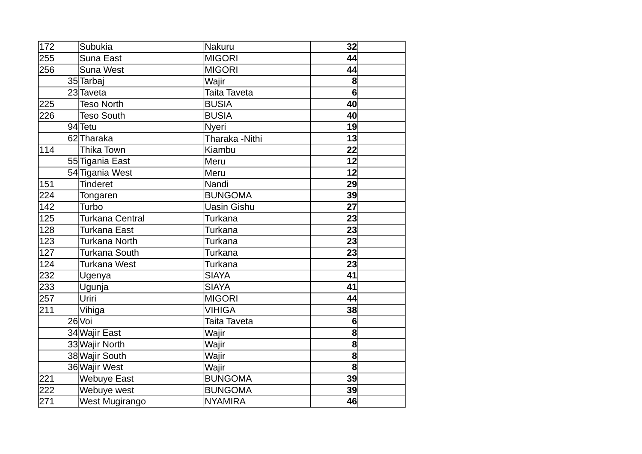| 172 | Subukia            | Nakuru             | 32             |
|-----|--------------------|--------------------|----------------|
| 255 | Suna East          | <b>MIGORI</b>      | 44             |
| 256 | Suna West          | <b>MIGORI</b>      | 44             |
|     | 35 Tarbaj          | Wajir              | 8              |
|     | 23 Taveta          | Taita Taveta       | $6\phantom{a}$ |
| 225 | <b>Teso North</b>  | <b>BUSIA</b>       | 40             |
| 226 | <b>Teso South</b>  | <b>BUSIA</b>       | 40             |
|     | 94 Tetu            | <b>Nyeri</b>       | 19             |
|     | 62Tharaka          | Tharaka -Nithi     | 13             |
| 114 | Thika Town         | Kiambu             | 22             |
|     | 55 Tigania East    | Meru               | 12             |
|     | 54 Tigania West    | Meru               | 12             |
| 151 | <b>Tinderet</b>    | Nandi              | 29             |
| 224 | Tongaren           | <b>BUNGOMA</b>     | 39             |
| 142 | Turbo              | <b>Uasin Gishu</b> | 27             |
| 125 | Turkana Central    | Turkana            | 23             |
| 128 | Turkana East       | Turkana            | 23             |
| 123 | Turkana North      | Turkana            | 23             |
| 127 | Turkana South      | Turkana            | 23             |
| 124 | Turkana West       | Turkana            | 23             |
| 232 | Ugenya             | <b>SIAYA</b>       | 41             |
| 233 | Ugunja             | <b>SIAYA</b>       | 41             |
| 257 | Uriri              | <b>MIGORI</b>      | 44             |
| 211 | Vihiga             | <b>VIHIGA</b>      | 38             |
|     | 26 Voi             | Taita Taveta       | 6              |
|     | 34 Wajir East      | Wajir              | 8              |
|     | 33 Wajir North     | Wajir              | 8              |
|     | 38 Wajir South     | Wajir              | 8              |
|     | 36 Wajir West      | Wajir              | $\mathbf{8}$   |
| 221 | <b>Webuye East</b> | <b>BUNGOMA</b>     | 39             |
| 222 | Webuye west        | <b>BUNGOMA</b>     | 39             |
| 271 | West Mugirango     | <b>NYAMIRA</b>     | 46             |